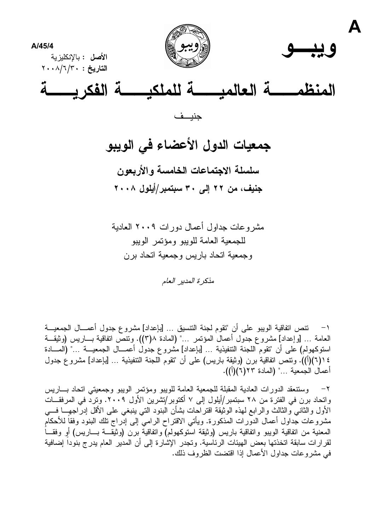



Δ



جنيف

جمعيات الدول الأعضاء في الويبو سلسلة الاجتماعات الخامسة والأربعون جنيف، من ٢٢ إلى ٣٠ سبتمبر/أيلول ٢٠٠٨

مشر و عات جداول أعمال دور ات ٢٠٠٩ العادية للجمعية العامة للويبو ومؤتمر الوبيو وجمعية اتحاد باريس وجمعية اتحاد برن

مذكرة المدبر العام

\ – تنص اتفاقية الويبو على أن "تقوم لجنة التنسيق ... [بإعداد] مشروع جدول أعمـــال الجمعيـــة العامة … [وإعداد] مشروع جدول أعمال المؤتمر …" (المادة ٣)٨). ونتص اتفاقية بـــاريس (وثيقـــة استوكهولم) على أن "تقوم اللجنة التتفيذية ... [بإعداد] مشروع جدول أعمـــال الجمعيـــة ..." (المــــادة ٤ ((٦)(أ)). ونتص انفاقية برن (وثيقة باريس) على أن "تقوم اللجنة التنفيذية … [بإعداد] مشروع جدول أعمال الجمعية ..." (المادة ٢٢(٦)(أ)).

وستنعقد الدورات العادية المقبلة للجمعية العامة للويبو ومؤتمر الويبو وجمعيتي اتحاد بساريس  $-\gamma$ واتحاد برن في الفترة من ٢٨ سبتمبر/أيلول إلى ٧ أكتوبر/تشرين الأول ٢٠٠٩. وترد في المرفقــات الأول والثاني والثالث والرابع لمهذه الوثيقة اقتراحات بشأن البنود التبي ينبغي على الأقل إدراجهـــا فـــي مشروعات جداول أعمال الدورات المذكورة. ويأتي الاقتراح الرامي إلىي إدراج نلك البنود وفقاً للأحكام المعنية من اتفاقية الويبو واتفاقية باريس (وثيقة استوكهولم) واتفاقية برن (وثيقـــة بـــاريس) أو وفقـــاً لقرارات سابقة انخذتها بعض الهيئات الرئاسية. وتجدر الإشارة إلى أن المدير العام يدرج بنودا إضافية في مشر و عات جداول الأعمال إذا اقتضت الظر و ف ذلك.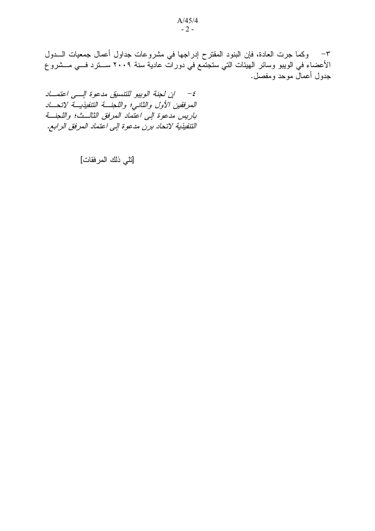٣– وكما جرت العادة، فإن البنود المقترح إدراجها في مشروعات جداول أعمال جمعيات الــــدول الأعضاء في الويبو وسائر الهيئات التي ستجتمع في دورات عادية سنة ٢٠٠٩ ســـترد فـــي مـــشروع جدول أعمالٌ موحدٍ ومفصلٍ.

٤- إن لجنة الوييو للتنسيق مدعوة الإلمي اعتملا المرفقين الأول والثاني؛ واللجنة التنفيذية لاتحاد باريس مدعوة الى اعتماد المرفق الثالث؛ واللجنة التنفيذية لاتحاد برن مدعوة إلى اعتماد المرفق الرابع.

[تلي ذلك المرفقات]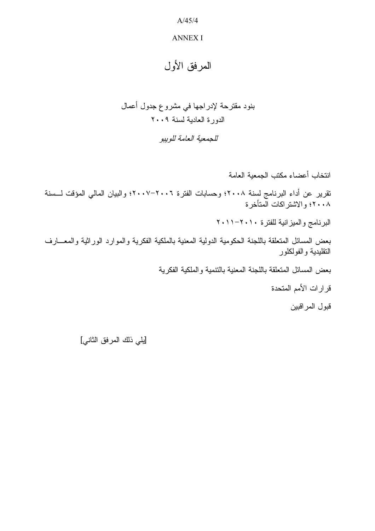#### **ANNEX I**

## المرفق الأول

# بنود مقترحة لإدراجها في مشروع جدول أعمال الدورة العادية لسنة ٢٠٠٩

للجمعية العامة للوبيو

انتخاب أعضاء مكتب الجمعية العامة تقرير عن أداء البرنامج لسنة ٢٠٠٨؛ وحسابات الفترة ٢٠٠٦-٢٠٠٧؛ والبيان المالي المؤقت لــسنة ٢٠٠٨؛ والاشتراكات المتأخرة البرنامج والميزانية للفترة ٢٠١٠-٢٠١١ بعض المسائل المتعلقة باللجنة الحكومية الدولية المعنية بالملكية الفكرية والموارد الوراثية والمعـــارف التقليدية و الفو لكلو ر بعض المسائل المتعلقة باللجنة المعنية بالنتمية والملكية الفكرية قرارات الأمم المتحدة قبو ل المر اقبين

[يلي ذلك المرفق الثاني]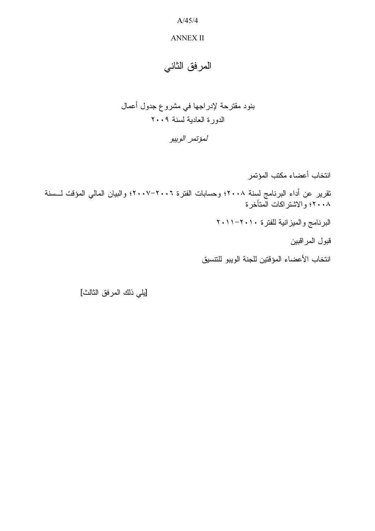### **ANNEX II**

المرفق الثاني

بنود مقترحة لإدراجها في مشروع جدول أعمال الدورة العادية لسنة ٢٠٠٩

لمؤتمر الوييو

انتخاب أعضباء مكتب المؤتمر تقرير عن أداء البرنامج لسنة ٢٠٠٨؛ وحسابات الفترة ٢٠٠٦-٢٠٠٧؛ والبيان المالي المؤقت لـــسنة<br>٢٠٠٨؛ والاشتراكات المتأخرة البرنامج والميزانية للفترة ٢٠١١-٢٠١١ قبول المراقبين انتخاب الأعضاء المؤقتين للجنة الويبو للتتسيق

[يلي ذلك المرفق الثالث]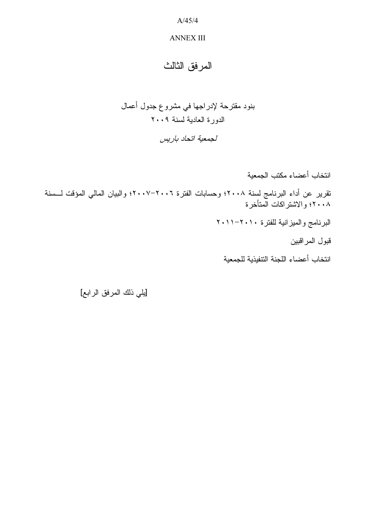### **ANNEX III**

## المرفق الثالث

## بنود مقترحة لإدراجها في مشروع جدول أعمال الدورة العادية لسنة ٢٠٠٩ لجمعية اتحاد باريس

انتخاب أعضاء مكتب الجمعية تقرير عن أداء البرنامج لسنة ٢٠٠٨؛ وحسابات الفترة ٢٠٠٦-٢٠٠٧؛ والبيان المالي المؤقت لــسنة<br>٢٠٠٨؛ والاشتراكات المتأخرة البرنامج والميزانية للفترة ٢٠١٠-٢٠١١ قبول المراقبين انتخاب أعضاء اللجنة التنفيذية للجمعية

[يلي ذلك المرفق الرابع]